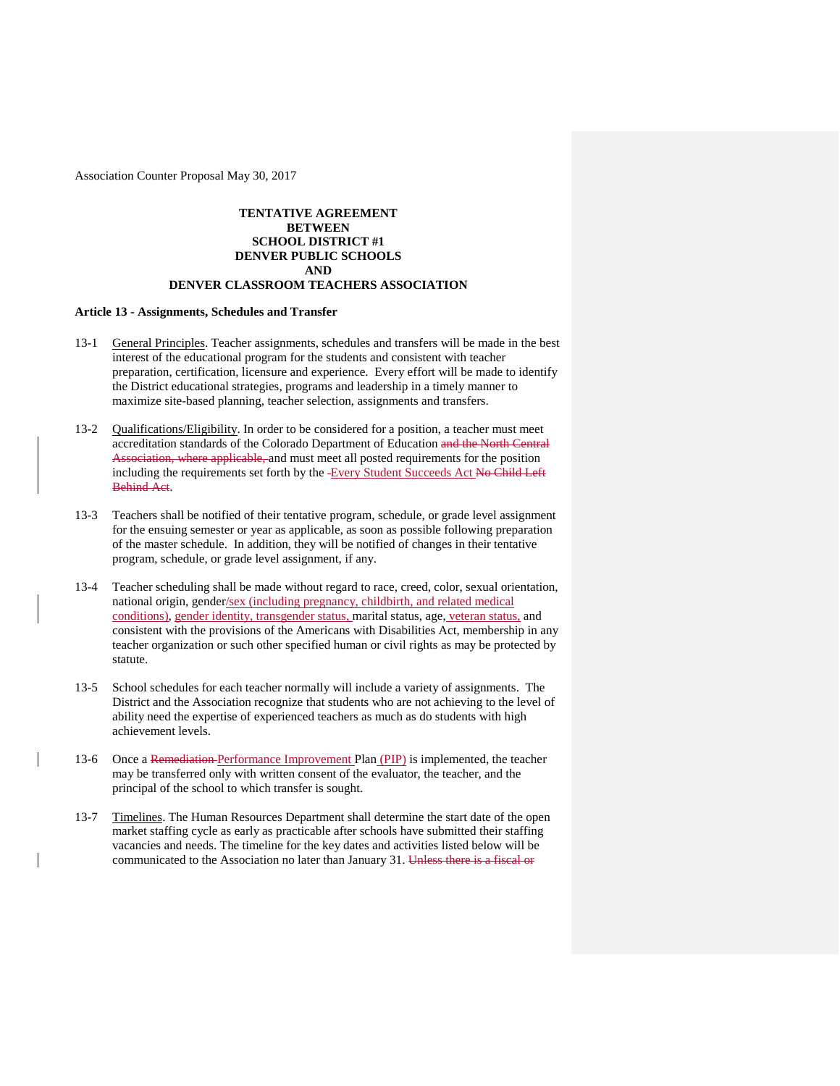# **TENTATIVE AGREEMENT BETWEEN SCHOOL DISTRICT #1 DENVER PUBLIC SCHOOLS AND**

# **DENVER CLASSROOM TEACHERS ASSOCIATION**

### **Article 13 - Assignments, Schedules and Transfer**

- 13-1 General Principles. Teacher assignments, schedules and transfers will be made in the best interest of the educational program for the students and consistent with teacher preparation, certification, licensure and experience. Every effort will be made to identify the District educational strategies, programs and leadership in a timely manner to maximize site-based planning, teacher selection, assignments and transfers.
- 13-2 Qualifications/Eligibility. In order to be considered for a position, a teacher must meet accreditation standards of the Colorado Department of Education and the North Central Association, where applicable, and must meet all posted requirements for the position including the requirements set forth by the -Every Student Succeeds Act No Child Left Behind Act.
- 13-3 Teachers shall be notified of their tentative program, schedule, or grade level assignment for the ensuing semester or year as applicable, as soon as possible following preparation of the master schedule. In addition, they will be notified of changes in their tentative program, schedule, or grade level assignment, if any.
- 13-4 Teacher scheduling shall be made without regard to race, creed, color, sexual orientation, national origin, gender/sex (including pregnancy, childbirth, and related medical conditions), gender identity, transgender status, marital status, age, veteran status, and consistent with the provisions of the Americans with Disabilities Act, membership in any teacher organization or such other specified human or civil rights as may be protected by statute.
- 13-5 School schedules for each teacher normally will include a variety of assignments. The District and the Association recognize that students who are not achieving to the level of ability need the expertise of experienced teachers as much as do students with high achievement levels.
- 13-6 Once a Remediation Performance Improvement Plan (PIP) is implemented, the teacher may be transferred only with written consent of the evaluator, the teacher, and the principal of the school to which transfer is sought.
- 13-7 Timelines. The Human Resources Department shall determine the start date of the open market staffing cycle as early as practicable after schools have submitted their staffing vacancies and needs. The timeline for the key dates and activities listed below will be communicated to the Association no later than January 31. Unless there is a fiscal or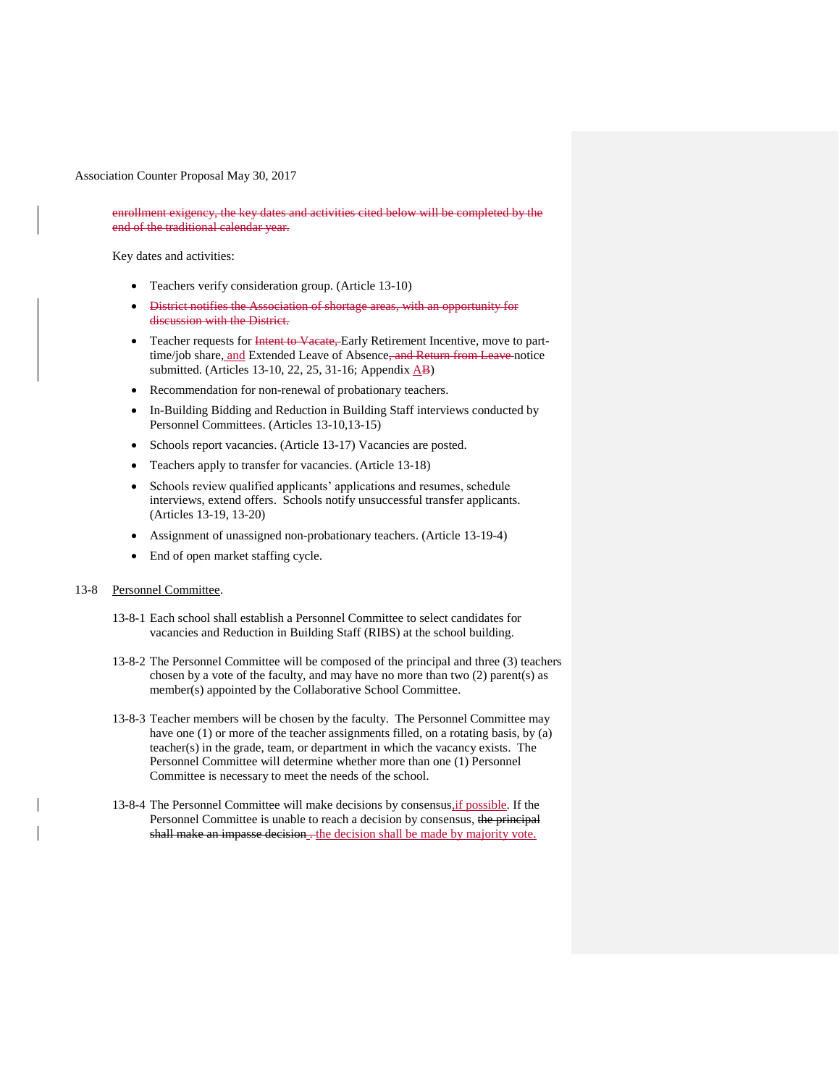enrollment exigency, the key dates and activities cited below will be completed by the end of the traditional calendar year.

Key dates and activities:

- Teachers verify consideration group. (Article 13-10)
- District notifies the Association of shortage areas, with an opportunity for discussion with the District.
- Teacher requests for Intent to Vacate, Early Retirement Incentive, move to parttime/job share, and Extended Leave of Absence<del>, and Return from Leave</del> notice submitted. (Articles 13-10, 22, 25, 31-16; Appendix  $\overrightarrow{AB}$ )
- Recommendation for non-renewal of probationary teachers.
- In-Building Bidding and Reduction in Building Staff interviews conducted by Personnel Committees. (Articles 13-10,13-15)
- Schools report vacancies. (Article 13-17) Vacancies are posted.
- Teachers apply to transfer for vacancies. (Article 13-18)
- Schools review qualified applicants' applications and resumes, schedule interviews, extend offers. Schools notify unsuccessful transfer applicants. (Articles 13-19, 13-20)
- Assignment of unassigned non-probationary teachers. (Article 13-19-4)
- End of open market staffing cycle.

#### 13-8 Personnel Committee.

- 13-8-1 Each school shall establish a Personnel Committee to select candidates for vacancies and Reduction in Building Staff (RIBS) at the school building.
- 13-8-2 The Personnel Committee will be composed of the principal and three (3) teachers chosen by a vote of the faculty, and may have no more than two (2) parent(s) as member(s) appointed by the Collaborative School Committee.
- 13-8-3 Teacher members will be chosen by the faculty. The Personnel Committee may have one (1) or more of the teacher assignments filled, on a rotating basis, by (a) teacher(s) in the grade, team, or department in which the vacancy exists. The Personnel Committee will determine whether more than one (1) Personnel Committee is necessary to meet the needs of the school.
- 13-8-4 The Personnel Committee will make decisions by consensus,if possible. If the Personnel Committee is unable to reach a decision by consensus, the principal shall make an impasse decision. the decision shall be made by majority vote.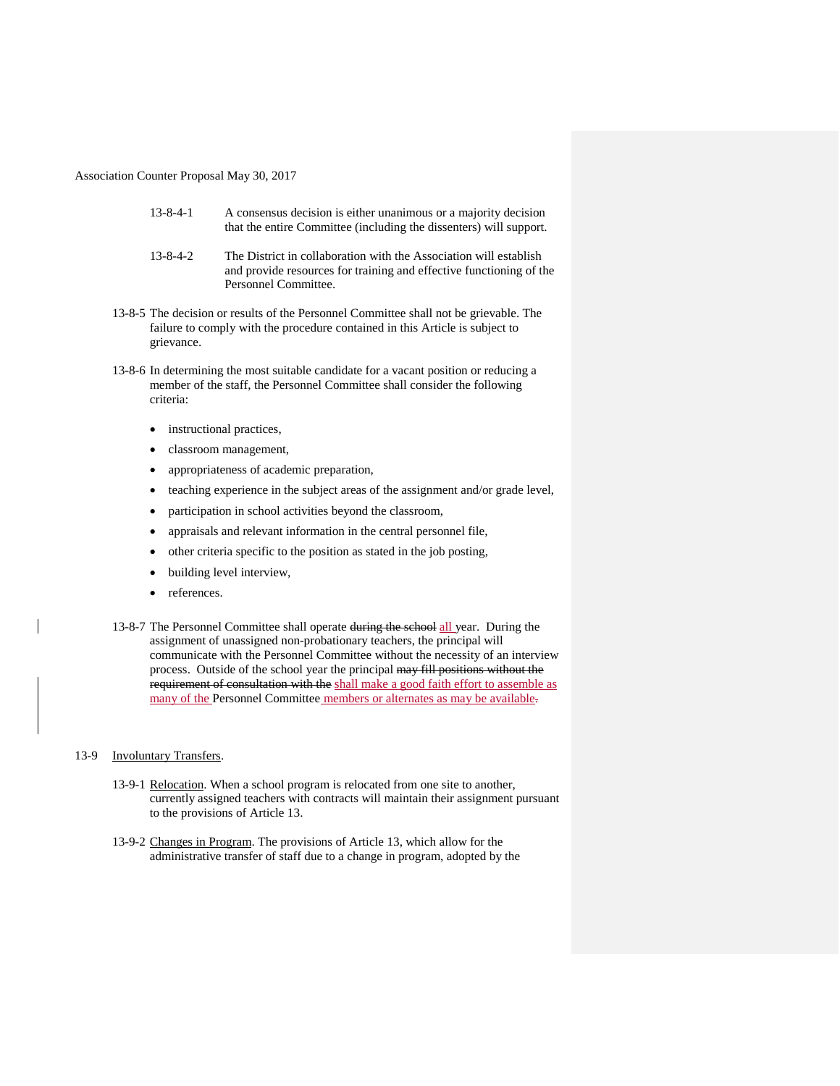- 13-8-4-1 A consensus decision is either unanimous or a majority decision that the entire Committee (including the dissenters) will support.
- 13-8-4-2 The District in collaboration with the Association will establish and provide resources for training and effective functioning of the Personnel Committee.
- 13-8-5 The decision or results of the Personnel Committee shall not be grievable. The failure to comply with the procedure contained in this Article is subject to grievance.
- 13-8-6 In determining the most suitable candidate for a vacant position or reducing a member of the staff, the Personnel Committee shall consider the following criteria:
	- instructional practices,
	- classroom management,
	- appropriateness of academic preparation,
	- teaching experience in the subject areas of the assignment and/or grade level,
	- participation in school activities beyond the classroom,
	- appraisals and relevant information in the central personnel file,
	- other criteria specific to the position as stated in the job posting,
	- building level interview,
	- references.
- 13-8-7 The Personnel Committee shall operate during the school all year. During the assignment of unassigned non-probationary teachers, the principal will communicate with the Personnel Committee without the necessity of an interview process. Outside of the school year the principal may fill positions without the requirement of consultation with the shall make a good faith effort to assemble as many of the Personnel Committee members or alternates as may be available.

#### 13-9 Involuntary Transfers.

- 13-9-1 Relocation. When a school program is relocated from one site to another, currently assigned teachers with contracts will maintain their assignment pursuant to the provisions of Article 13.
- 13-9-2 Changes in Program. The provisions of Article 13, which allow for the administrative transfer of staff due to a change in program, adopted by the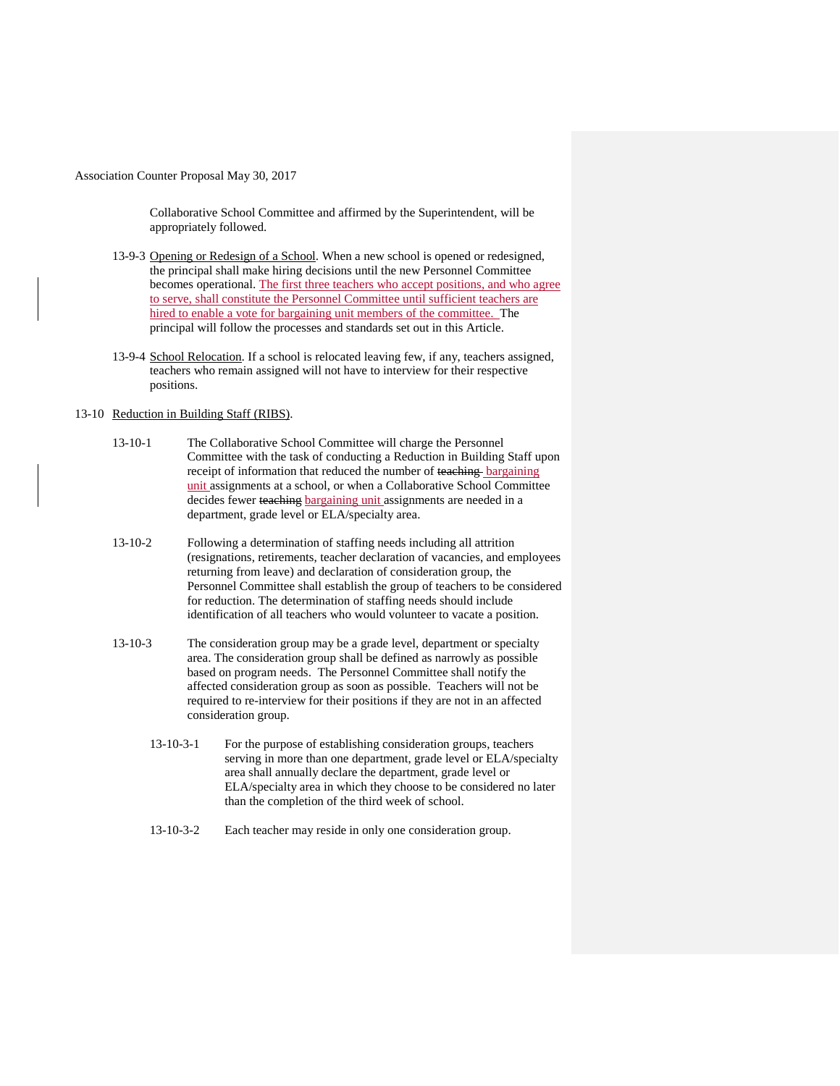Collaborative School Committee and affirmed by the Superintendent, will be appropriately followed.

- 13-9-3 Opening or Redesign of a School. When a new school is opened or redesigned, the principal shall make hiring decisions until the new Personnel Committee becomes operational. The first three teachers who accept positions, and who agree to serve, shall constitute the Personnel Committee until sufficient teachers are hired to enable a vote for bargaining unit members of the committee. The principal will follow the processes and standards set out in this Article.
- 13-9-4 School Relocation. If a school is relocated leaving few, if any, teachers assigned, teachers who remain assigned will not have to interview for their respective positions.

### 13-10 Reduction in Building Staff (RIBS).

- 13-10-1 The Collaborative School Committee will charge the Personnel Committee with the task of conducting a Reduction in Building Staff upon receipt of information that reduced the number of teaching bargaining unit assignments at a school, or when a Collaborative School Committee decides fewer teaching bargaining unit assignments are needed in a department, grade level or ELA/specialty area.
- 13-10-2 Following a determination of staffing needs including all attrition (resignations, retirements, teacher declaration of vacancies, and employees returning from leave) and declaration of consideration group, the Personnel Committee shall establish the group of teachers to be considered for reduction. The determination of staffing needs should include identification of all teachers who would volunteer to vacate a position.
- 13-10-3 The consideration group may be a grade level, department or specialty area. The consideration group shall be defined as narrowly as possible based on program needs. The Personnel Committee shall notify the affected consideration group as soon as possible. Teachers will not be required to re-interview for their positions if they are not in an affected consideration group.
	- 13-10-3-1 For the purpose of establishing consideration groups, teachers serving in more than one department, grade level or ELA/specialty area shall annually declare the department, grade level or ELA/specialty area in which they choose to be considered no later than the completion of the third week of school.
	- 13-10-3-2 Each teacher may reside in only one consideration group.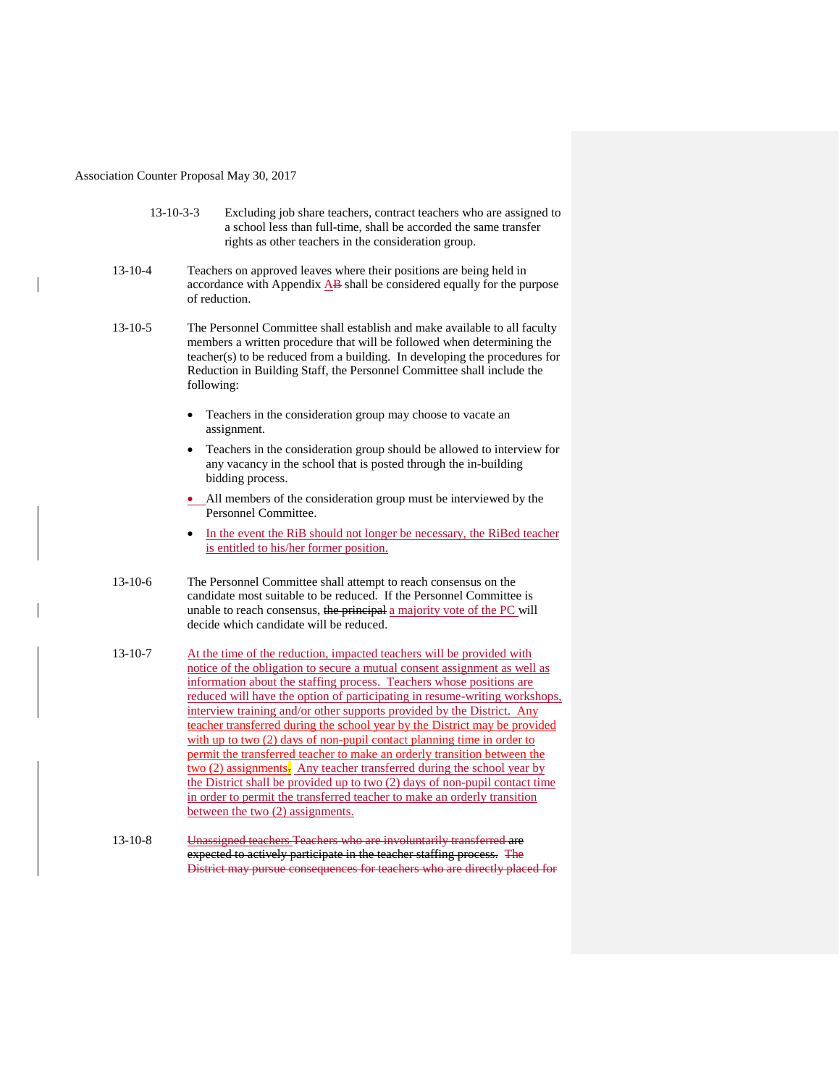| $13 - 10 - 3 - 3$ | Excluding job share teachers, contract teachers who are assigned to |
|-------------------|---------------------------------------------------------------------|
|                   | a school less than full-time, shall be accorded the same transfer   |
|                   | rights as other teachers in the consideration group.                |

- 13-10-4 Teachers on approved leaves where their positions are being held in accordance with Appendix  $\overline{AB}$  shall be considered equally for the purpose of reduction.
- 13-10-5 The Personnel Committee shall establish and make available to all faculty members a written procedure that will be followed when determining the teacher(s) to be reduced from a building. In developing the procedures for Reduction in Building Staff, the Personnel Committee shall include the following:
	- Teachers in the consideration group may choose to vacate an assignment.
	- Teachers in the consideration group should be allowed to interview for any vacancy in the school that is posted through the in-building bidding process.
	- All members of the consideration group must be interviewed by the Personnel Committee.
	- In the event the RiB should not longer be necessary, the RiBed teacher is entitled to his/her former position.
- 13-10-6 The Personnel Committee shall attempt to reach consensus on the candidate most suitable to be reduced. If the Personnel Committee is unable to reach consensus, the principal a majority vote of the PC will decide which candidate will be reduced.
- 13-10-7 At the time of the reduction, impacted teachers will be provided with notice of the obligation to secure a mutual consent assignment as well as information about the staffing process. Teachers whose positions are reduced will have the option of participating in resume-writing workshops, interview training and/or other supports provided by the District. Any teacher transferred during the school year by the District may be provided with up to two (2) days of non-pupil contact planning time in order to permit the transferred teacher to make an orderly transition between the two (2) assignments- Any teacher transferred during the school year by the District shall be provided up to two (2) days of non-pupil contact time in order to permit the transferred teacher to make an orderly transition between the two (2) assignments.
- 13-10-8 Unassigned teachers Teachers who are involuntarily transferred are expected to actively participate in the teacher staffing process. The District may pursue consequences for teachers who are directly placed for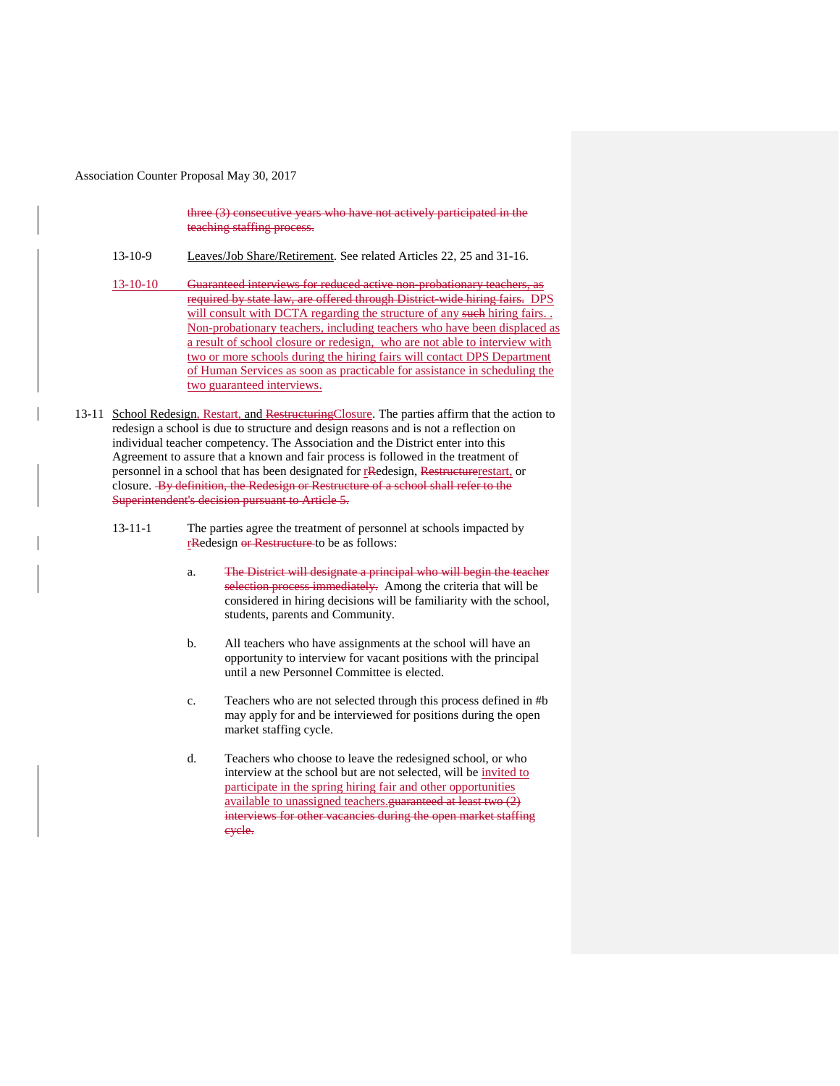three (3) consecutive years who have not actively participated in the teaching staffing process.

- 13-10-9 Leaves/Job Share/Retirement. See related Articles 22, 25 and 31-16.
- 13-10-10 Guaranteed interviews for reduced active non-probationary teachers, as required by state law, are offered through District-wide hiring fairs. DPS will consult with DCTA regarding the structure of any such hiring fairs... Non-probationary teachers, including teachers who have been displaced as a result of school closure or redesign, who are not able to interview with two or more schools during the hiring fairs will contact DPS Department of Human Services as soon as practicable for assistance in scheduling the two guaranteed interviews.
- 13-11 School Redesign, Restart, and Restructuring Closure. The parties affirm that the action to redesign a school is due to structure and design reasons and is not a reflection on individual teacher competency. The Association and the District enter into this Agreement to assure that a known and fair process is followed in the treatment of personnel in a school that has been designated for rRedesign, Restructurerestart, or closure. By definition, the Redesign or Restructure of a school shall refer to the Superintendent's decision pursuant to Article 5.
	- 13-11-1 The parties agree the treatment of personnel at schools impacted by rRedesign or Restructure to be as follows:
		- a. The District will designate a principal who will begin the teacher selection process immediately. Among the criteria that will be considered in hiring decisions will be familiarity with the school, students, parents and Community.
		- b. All teachers who have assignments at the school will have an opportunity to interview for vacant positions with the principal until a new Personnel Committee is elected.
		- c. Teachers who are not selected through this process defined in #b may apply for and be interviewed for positions during the open market staffing cycle.
		- d. Teachers who choose to leave the redesigned school, or who interview at the school but are not selected, will be invited to participate in the spring hiring fair and other opportunities available to unassigned teachers.guaranteed at least two (2) interviews for other vacancies during the open market staffing cycle.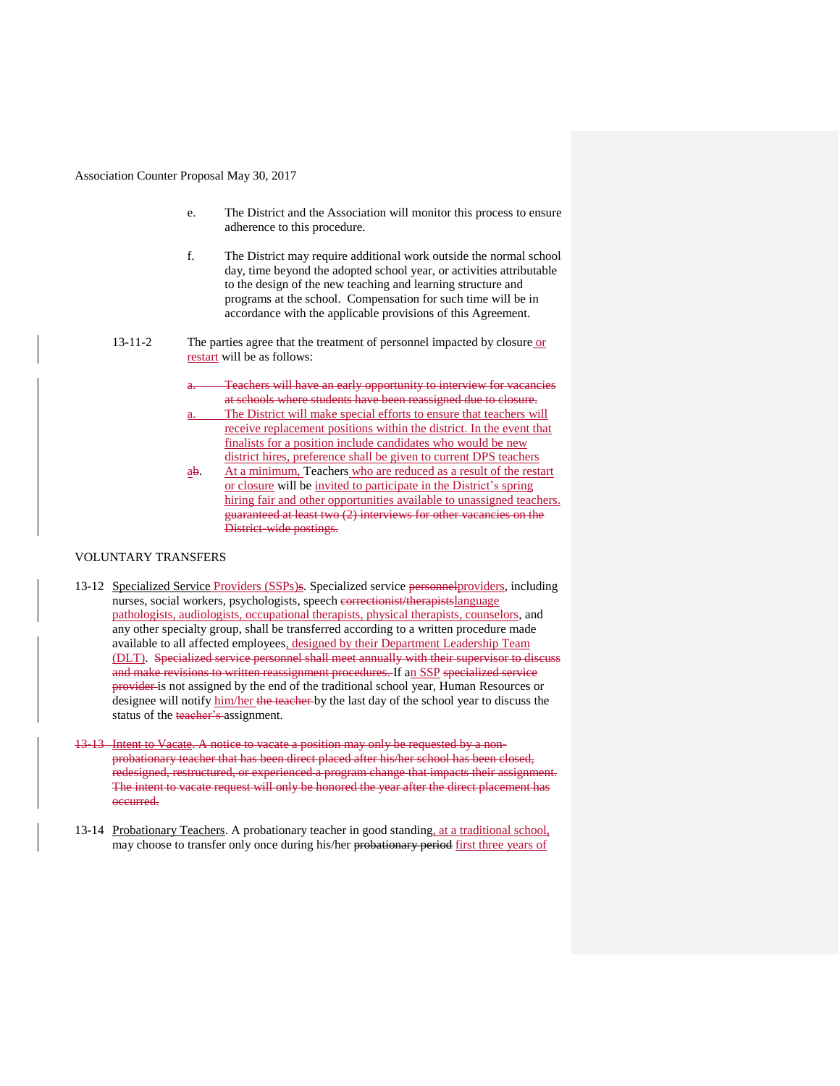- e. The District and the Association will monitor this process to ensure adherence to this procedure.
- f. The District may require additional work outside the normal school day, time beyond the adopted school year, or activities attributable to the design of the new teaching and learning structure and programs at the school. Compensation for such time will be in accordance with the applicable provisions of this Agreement.
- 
- 13-11-2 The parties agree that the treatment of personnel impacted by closure or restart will be as follows:
	- Teachers will have an early opportunity to interview for vacancies at schools where students have been reassigned due to closure.
	- The District will make special efforts to ensure that teachers will receive replacement positions within the district. In the event that finalists for a position include candidates who would be new district hires, preference shall be given to current DPS teachers
	- ab. At a minimum, Teachers who are reduced as a result of the restart or closure will be invited to participate in the District's spring hiring fair and other opportunities available to unassigned teachers. guaranteed at least two (2) interviews for other vacancies on the District-wide postings.

## VOLUNTARY TRANSFERS

- 13-12 Specialized Service Providers (SSPs)s. Specialized service personnelproviders, including nurses, social workers, psychologists, speech correctionist/therapistslanguage pathologists, audiologists, occupational therapists, physical therapists, counselors, and any other specialty group, shall be transferred according to a written procedure made available to all affected employees, designed by their Department Leadership Team (DLT). Specialized service personnel shall meet annually with their supervisor to discuss and make revisions to written reassignment procedures. If an SSP specialized service provider is not assigned by the end of the traditional school year, Human Resources or designee will notify him/her the teacher by the last day of the school year to discuss the status of the teacher's assignment.
- 13-13 Intent to Vacate. A notice to vacate a position may only be requested by a nonprobationary teacher that has been direct placed after his/her school has been closed, redesigned, restructured, or experienced a program change that impacts their assignment. The intent to vacate request will only be honored the year after the direct placement has occurred.
- 13-14 Probationary Teachers. A probationary teacher in good standing, at a traditional school, may choose to transfer only once during his/her probationary period first three years of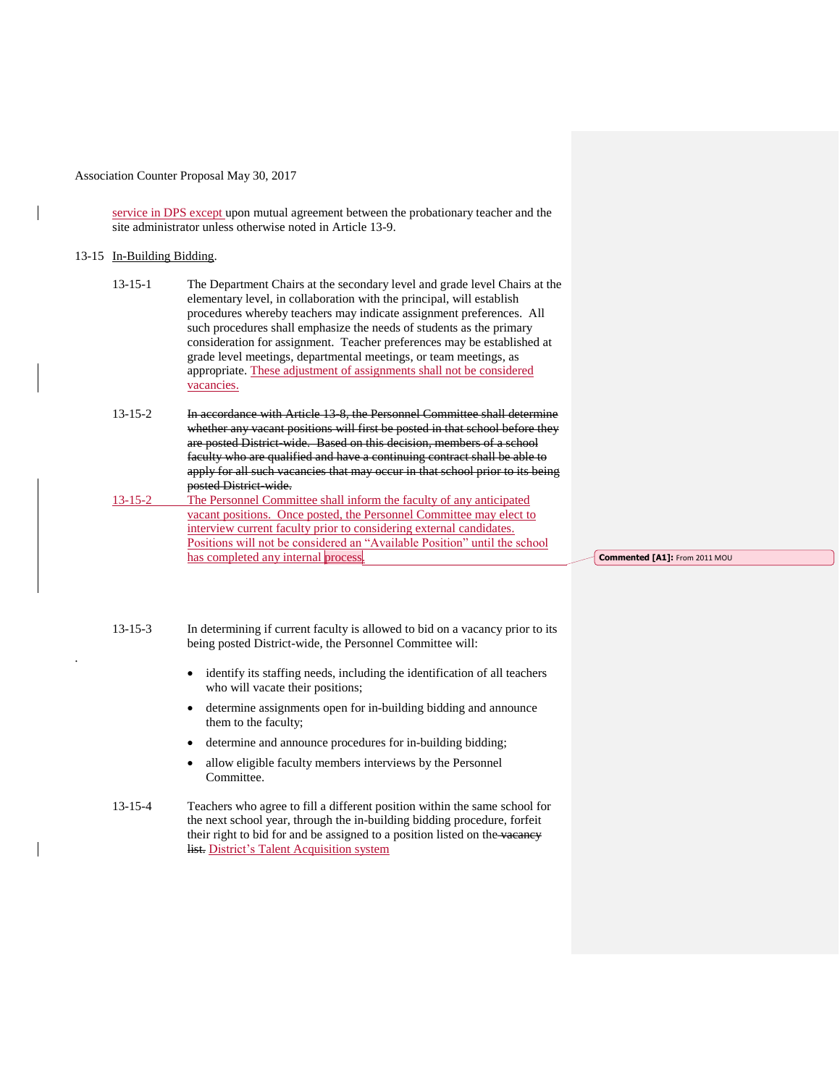service in DPS except upon mutual agreement between the probationary teacher and the site administrator unless otherwise noted in Article 13-9.

### 13-15 In-Building Bidding.

.

| $13 - 15 - 1$ | The Department Chairs at the secondary level and grade level Chairs at the |
|---------------|----------------------------------------------------------------------------|
|               | elementary level, in collaboration with the principal, will establish      |
|               | procedures whereby teachers may indicate assignment preferences. All       |
|               | such procedures shall emphasize the needs of students as the primary       |
|               | consideration for assignment. Teacher preferences may be established at    |
|               | grade level meetings, departmental meetings, or team meetings, as          |
|               | appropriate. These adjustment of assignments shall not be considered       |
|               | vacancies.                                                                 |

13-15-2 In accordance with Article 13-8, the Personnel Committee shall determine whether any vacant positions will first be posted in that school before they are posted District-wide. Based on this decision, members of a school faculty who are qualified and have a continuing contract shall be able to apply for all such vacancies that may occur in that school prior to its being posted District-wide.

13-15-2 The Personnel Committee shall inform the faculty of any anticipated vacant positions. Once posted, the Personnel Committee may elect to interview current faculty prior to considering external candidates. Positions will not be considered an "Available Position" until the school has completed any internal process.

**Commented [A1]:** From 2011 MOU

13-15-3 In determining if current faculty is allowed to bid on a vacancy prior to its being posted District-wide, the Personnel Committee will:

- identify its staffing needs, including the identification of all teachers who will vacate their positions;
- determine assignments open for in-building bidding and announce them to the faculty;
- determine and announce procedures for in-building bidding;
- allow eligible faculty members interviews by the Personnel Committee.

13-15-4 Teachers who agree to fill a different position within the same school for the next school year, through the in-building bidding procedure, forfeit their right to bid for and be assigned to a position listed on the vacancy list. District's Talent Acquisition system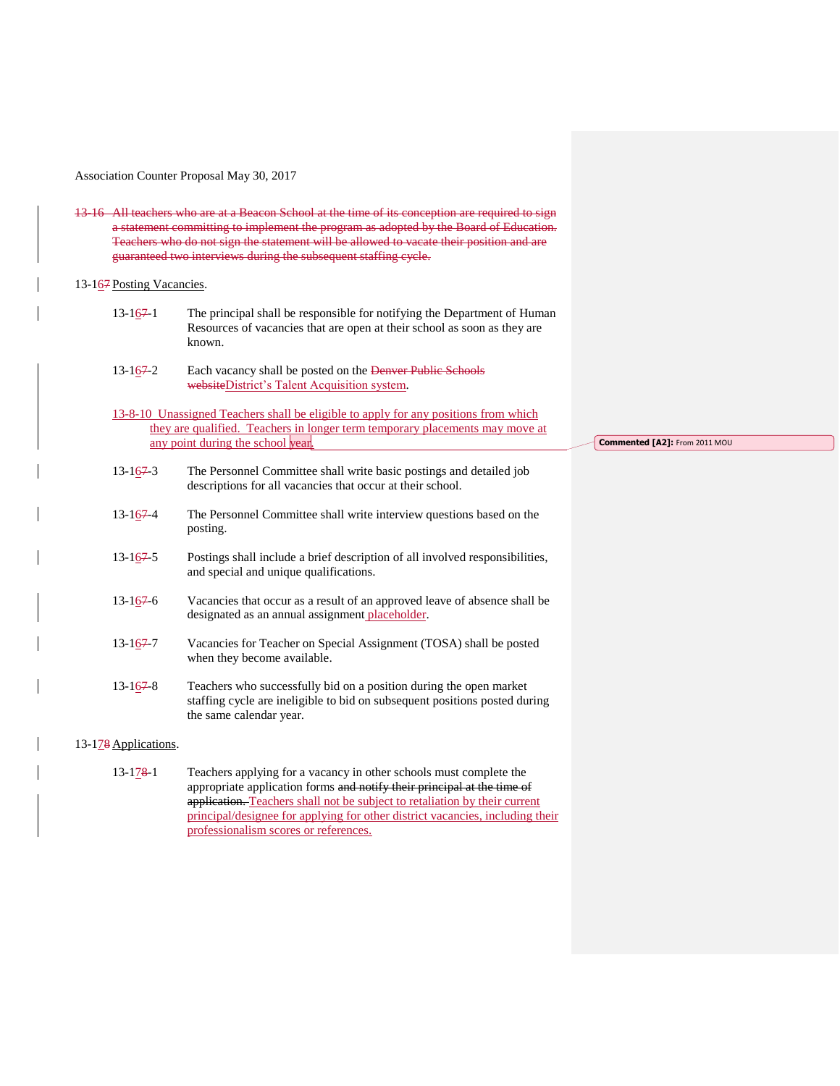13-16 All teachers who are at a Beacon School at the time of its conception are required to sign a statement committing to implement the program as adopted by the Board of Education. Teachers who do not sign the statement will be allowed to vacate their position and are guaranteed two interviews during the subsequent staffing cycle.

### 13-167 Posting Vacancies.

- $13-167-1$  The principal shall be responsible for notifying the Department of Human Resources of vacancies that are open at their school as soon as they are known.
- 13-1<u>6</u>7-2 Each vacancy shall be posted on the Denver Public Schools websiteDistrict's Talent Acquisition system.
- 13-8-10 Unassigned Teachers shall be eligible to apply for any positions from which they are qualified. Teachers in longer term temporary placements may move at any point during the school year.
- 13-167-3 The Personnel Committee shall write basic postings and detailed job descriptions for all vacancies that occur at their school.
- 13-167-4 The Personnel Committee shall write interview questions based on the posting.
- 13-167-5 Postings shall include a brief description of all involved responsibilities, and special and unique qualifications.
- 13-167-6 Vacancies that occur as a result of an approved leave of absence shall be designated as an annual assignment placeholder.
- 13-167-7 Vacancies for Teacher on Special Assignment (TOSA) shall be posted when they become available.
- 13-1<u>6</u>7-8 Teachers who successfully bid on a position during the open market staffing cycle are ineligible to bid on subsequent positions posted during the same calendar year.

### 13-178 Applications.

13-1<u>78-1</u> Teachers applying for a vacancy in other schools must complete the appropriate application forms and notify their principal at the time of application. Teachers shall not be subject to retaliation by their current principal/designee for applying for other district vacancies, including their professionalism scores or references.

**Commented [A2]:** From 2011 MOU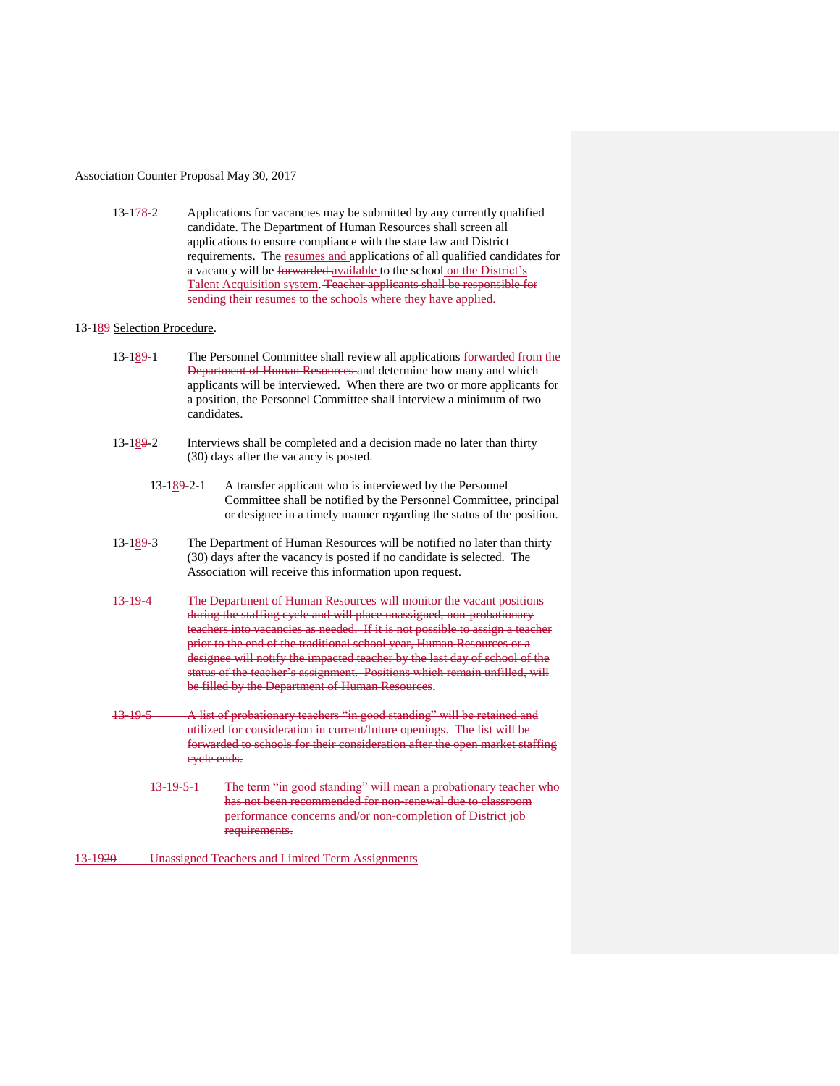13-178-2 Applications for vacancies may be submitted by any currently qualified candidate. The Department of Human Resources shall screen all applications to ensure compliance with the state law and District requirements. The resumes and applications of all qualified candidates for a vacancy will be forwarded available to the school on the District's Talent Acquisition system. Teacher applicants shall be responsible for sending their resumes to the schools where they have applied.

### 13-189 Selection Procedure.

| 13-189-1 | The Personnel Committee shall review all applications forwarded from the  |  |  |
|----------|---------------------------------------------------------------------------|--|--|
|          | Department of Human Resources-and determine how many and which            |  |  |
|          | applicants will be interviewed. When there are two or more applicants for |  |  |
|          | a position, the Personnel Committee shall interview a minimum of two      |  |  |
|          | candidates.                                                               |  |  |

- 13-189-2 Interviews shall be completed and a decision made no later than thirty (30) days after the vacancy is posted.
	- 13-189-2-1 A transfer applicant who is interviewed by the Personnel Committee shall be notified by the Personnel Committee, principal or designee in a timely manner regarding the status of the position.
- 13-189-3 The Department of Human Resources will be notified no later than thirty (30) days after the vacancy is posted if no candidate is selected. The Association will receive this information upon request.
- 13-19-4 The Department of Human Resources will monitor the vacant positions during the staffing cycle and will place unassigned, non-probationary teachers into vacancies as needed. If it is not possible to assign a teacher prior to the end of the traditional school year, Human Resources or a designee will notify the impacted teacher by the last day of school of the status of the teacher's assignment. Positions which remain unfilled, will be filled by the Department of Human Resources.
- 13-19-5 A list of probationary teachers "in good standing" will be retained and utilized for consideration in current/future openings. The list will be forwarded to schools for their consideration after the open market staffing cycle ends.
	- 13-19-5-1 The term "in good standing" will mean a probationary teacher who has not been recommended for non-renewal due to classroom performance concerns and/or non-completion of District job requirements.

13-1920 Unassigned Teachers and Limited Term Assignments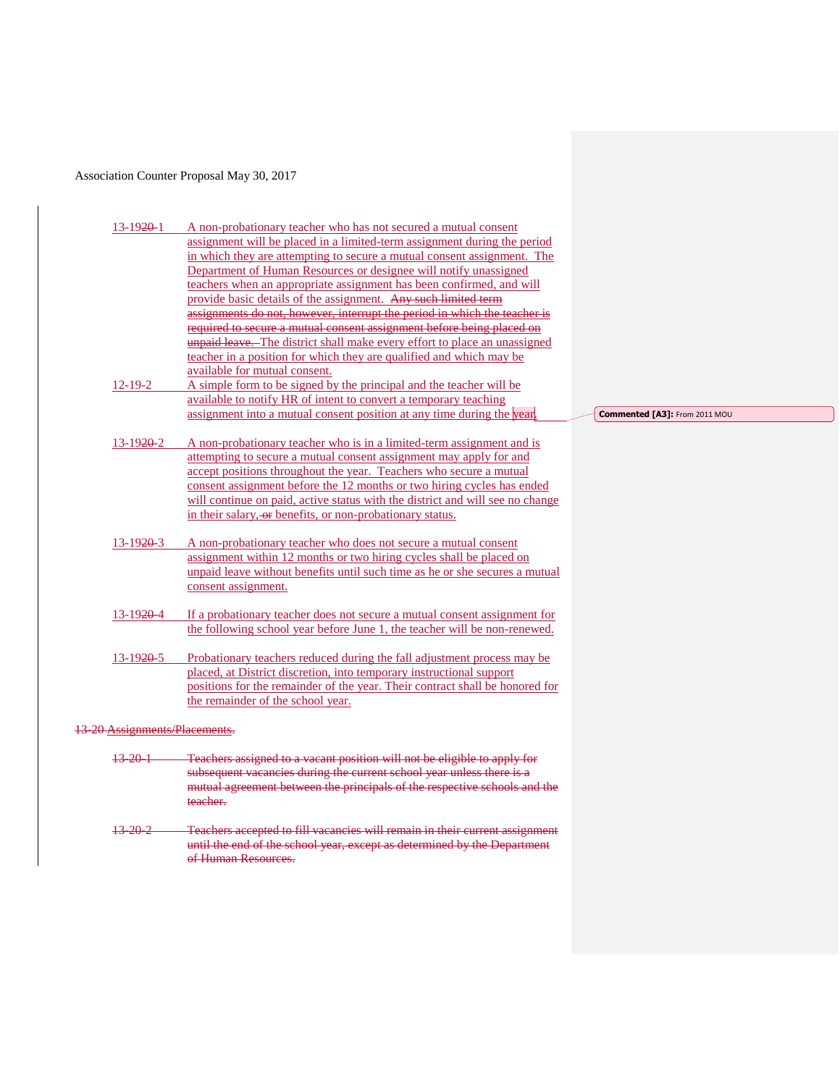| 13-1920-1               | A non-probationary teacher who has not secured a mutual consent                       |                               |
|-------------------------|---------------------------------------------------------------------------------------|-------------------------------|
|                         | assignment will be placed in a limited-term assignment during the period              |                               |
|                         | in which they are attempting to secure a mutual consent assignment. The               |                               |
|                         | Department of Human Resources or designee will notify unassigned                      |                               |
|                         | teachers when an appropriate assignment has been confirmed, and will                  |                               |
|                         | provide basic details of the assignment. Any such limited term                        |                               |
|                         | assignments do not, however, interrupt the period in which the teacher is             |                               |
|                         | required to secure a mutual consent assignment before being placed on                 |                               |
|                         | unpaid leave. The district shall make every effort to place an unassigned             |                               |
|                         | teacher in a position for which they are qualified and which may be                   |                               |
|                         | available for mutual consent.                                                         |                               |
| $12 - 19 - 2$           | A simple form to be signed by the principal and the teacher will be                   |                               |
|                         | available to notify HR of intent to convert a temporary teaching                      |                               |
|                         | assignment into a mutual consent position at any time during the year.                | Commented [A3]: From 2011 MOU |
|                         |                                                                                       |                               |
| $13-1920-2$             | A non-probationary teacher who is in a limited-term assignment and is                 |                               |
|                         | attempting to secure a mutual consent assignment may apply for and                    |                               |
|                         | accept positions throughout the year. Teachers who secure a mutual                    |                               |
|                         | consent assignment before the 12 months or two hiring cycles has ended                |                               |
|                         | will continue on paid, active status with the district and will see no change         |                               |
|                         | in their salary, or benefits, or non-probationary status.                             |                               |
|                         |                                                                                       |                               |
| $13 - 1920 - 3$         | A non-probationary teacher who does not secure a mutual consent                       |                               |
|                         | assignment within 12 months or two hiring cycles shall be placed on                   |                               |
|                         | unpaid leave without benefits until such time as he or she secures a mutual           |                               |
|                         | consent assignment.                                                                   |                               |
|                         |                                                                                       |                               |
| $13-1920-4$             | If a probationary teacher does not secure a mutual consent assignment for             |                               |
|                         | the following school year before June 1, the teacher will be non-renewed.             |                               |
|                         |                                                                                       |                               |
| 13-1920-5               | Probationary teachers reduced during the fall adjustment process may be               |                               |
|                         | placed, at District discretion, into temporary instructional support                  |                               |
|                         | positions for the remainder of the year. Their contract shall be honored for          |                               |
|                         | the remainder of the school year.                                                     |                               |
|                         |                                                                                       |                               |
| Assignments/Placements. |                                                                                       |                               |
| <del>13-20-1</del>      | Teachers assigned to a vacant position will not be eligible to apply for              |                               |
|                         | subsequent vacancies during the current school year unless there is a                 |                               |
|                         |                                                                                       |                               |
|                         | mutual agreement between the principals of the respective schools and the<br>teacher. |                               |
| 13-20-2                 | Teachers accepted to fill vacancies will remain in their current assignment           |                               |
|                         | until the end of the school year, except as determined by the Department              |                               |

of Human Resources.